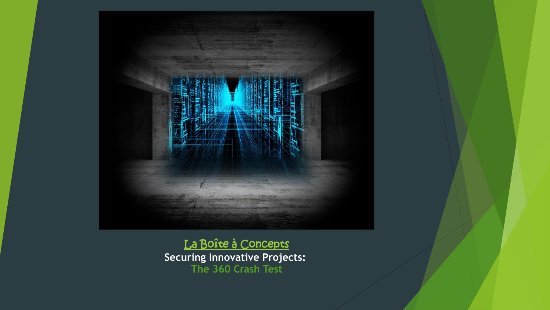

[La Boîte à Concepts](http://laboiteaconcepts.com/index.php/en/from-innovation-to-disruption/) **Securing Innovative Projects: The 360 Crash Test**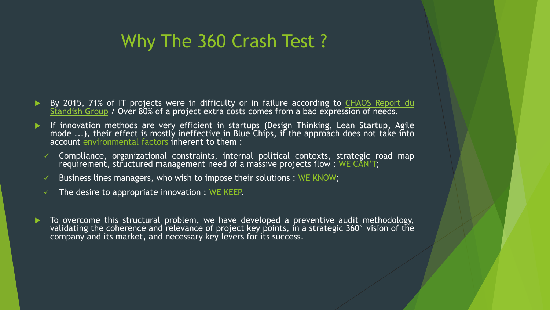# Why The 360 Crash Test ?

- By 2015, 71% of IT projects were in difficulty or in failure according to CHAOS Report du Standish Group / Over 80% of a project extra costs comes from a bad [expression](http://blog.standishgroup.com/post/50) of needs.
- If innovation methods are very efficient in startups (Design Thinking, Lean Startup, Agile mode ...), their effect is mostly ineffective in Blue Chips, if the approach does not take into account environmental factors inherent to them :
	- Compliance, organizational constraints, internal political contexts, strategic road map requirement, structured management need of a massive projects flow: WE CAN'T;
	- Business lines managers, who wish to impose their solutions : WE KNOW;
	- The desire to appropriate innovation : WE KEEP.
- To overcome this structural problem, we have developed a preventive audit methodology, validating the coherence and relevance of project key points, in a strategic 360° vision of the company and its market, and necessary key levers for its success.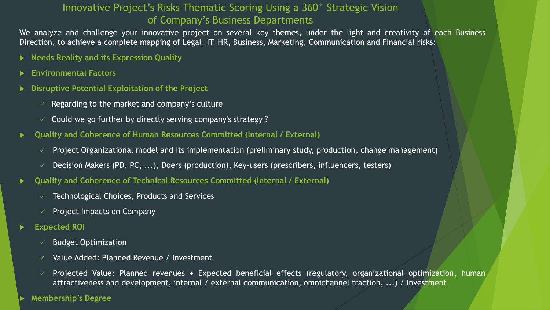## Innovative Project's Risks Thematic Scoring Using a 360° Strategic Vision of Company's Business Departments

We analyze and challenge your innovative project on several key themes, under the light and creativity of each Business Direction, to achieve a complete mapping of Legal, IT, HR, Business, Marketing, Communication and Financial risks:

- **Needs Reality and its Expression Quality**
- **Environmental Factors**
- **Disruptive Potential Exploitation of the Project**
	- Regarding to the market and company's culture
	- $\checkmark$  Could we go further by directly serving company's strategy?
- **Quality and Coherence of Human Resources Committed (Internal / External)**
	- $\checkmark$  Project Organizational model and its implementation (preliminary study, production, change management)
	- $\checkmark$  Decision Makers (PD, PC, ...), Doers (production), Key-users (prescribers, influencers, testers)
- **Quality and Coherence of Technical Resources Committed (Internal / External)**
	- Technological Choices, Products and Services
	- Project Impacts on Company
- **Expected ROI**
	- Budget Optimization
	- $\checkmark$  Value Added: Planned Revenue / Investment
	- $\checkmark$  Projected Value: Planned revenues + Expected beneficial effects (regulatory, organizational optimization, human attractiveness and development, internal / external communication, omnichannel traction, ...) / Investment

**Membership's Degree**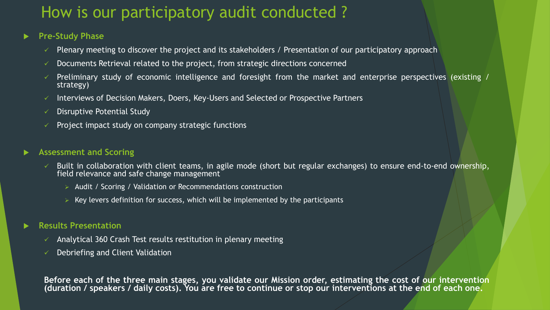## How is our participatory audit conducted ?

#### **Pre-Study Phase**

- Plenary meeting to discover the project and its stakeholders / Presentation of our participatory approach
- Documents Retrieval related to the project, from strategic directions concerned
- Preliminary study of economic intelligence and foresight from the market and enterprise perspectives (existing / strategy)
- Interviews of Decision Makers, Doers, Key-Users and Selected or Prospective Partners
- Disruptive Potential Study
- Project impact study on company strategic functions

#### **Assessment and Scoring**

- Built in collaboration with client teams, in agile mode (short but regular exchanges) to ensure end-to-end ownership, field relevance and safe change management
	- $\triangleright$  Audit / Scoring / Validation or Recommendations construction
	- $\triangleright$  Key levers definition for success, which will be implemented by the participants

#### **Results Presentation**

- Analytical 360 Crash Test results restitution in plenary meeting
- Debriefing and Client Validation

Before each of the three main stages, you validate our Mission order, estimating the cost of our intervention (duration / speakers / daily costs). You are free to continue or stop our interventions at the end of each one.